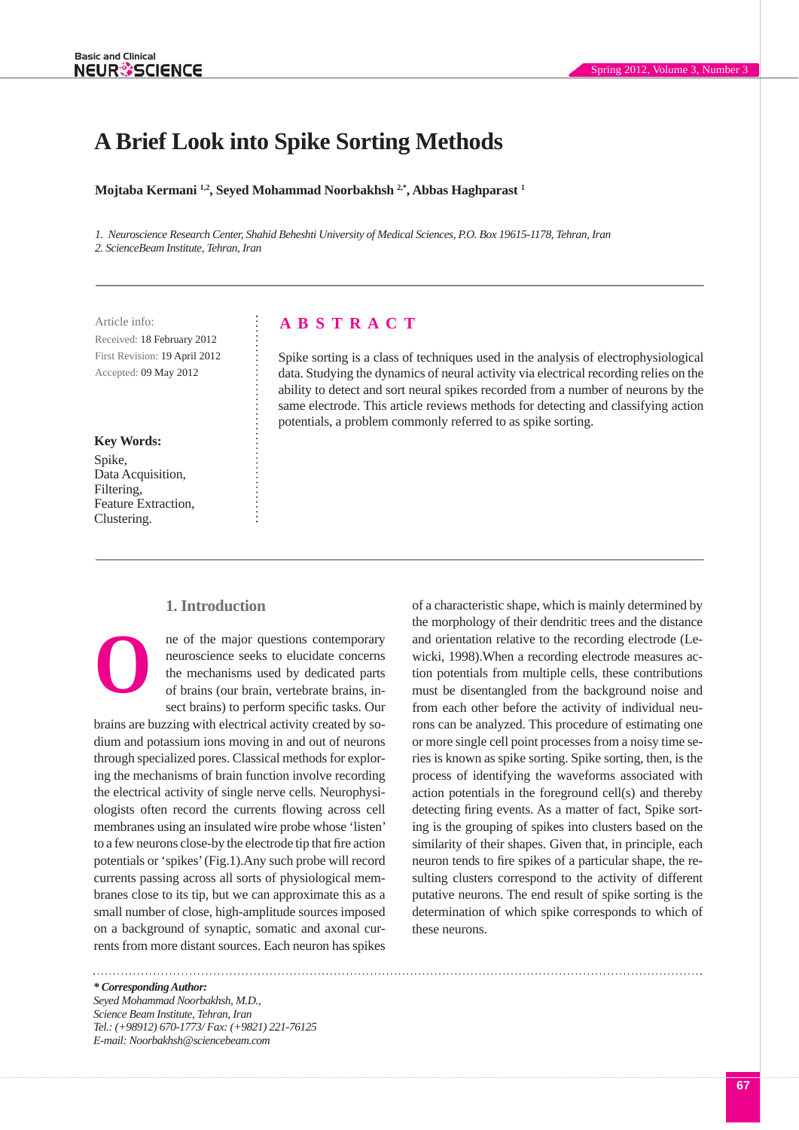# **A Brief Look into Spike Sorting Methods**

**Mojtaba Kermani 1,2, Seyed Mohammad Noorbakhsh 2,\*, Abbas Haghparast 1**

*1. Neuroscience Research Center, Shahid Beheshti University of Medical Sciences, P.O. Box 19615-1178, Tehran, Iran 2. ScienceBeam Institute, Tehran, Iran*

Received: 18 February 2012 First Revision: 19 April 2012 Accepted: 09 May 2012

# **Key Words:**

Spike, Data Acquisition, Filtering, Feature Extraction, Clustering.

# Article info: **A B S T R A C T**

Spike sorting is a class of techniques used in the analysis of electrophysiological data. Studying the dynamics of neural activity via electrical recording relies on the ability to detect and sort neural spikes recorded from a number of neurons by the same electrode. This article reviews methods for detecting and classifying action potentials, a problem commonly referred to as spike sorting.

# **1. Introduction**

ne of the major questions contemporary neuroscience seeks to elucidate concerns the mechanisms used by dedicated parts of brains (our brain, vertebrate brains, insect brains) to perform specific tasks. Our **O**

brains are buzzing with electrical activity created by sodium and potassium ions moving in and out of neurons through specialized pores. Classical methods for exploring the mechanisms of brain function involve recording the electrical activity of single nerve cells. Neurophysiologists often record the currents flowing across cell membranes using an insulated wire probe whose 'listen' to a few neurons close-by the electrode tip that fire action potentials or 'spikes' (Fig.1).Any such probe will record currents passing across all sorts of physiological membranes close to its tip, but we can approximate this as a small number of close, high-amplitude sources imposed on a background of synaptic, somatic and axonal currents from more distant sources. Each neuron has spikes

of a characteristic shape, which is mainly determined by the morphology of their dendritic trees and the distance and orientation relative to the recording electrode (Lewicki, 1998).When a recording electrode measures action potentials from multiple cells, these contributions must be disentangled from the background noise and from each other before the activity of individual neurons can be analyzed. This procedure of estimating one or more single cell point processes from a noisy time series is known as spike sorting. Spike sorting, then, is the process of identifying the waveforms associated with action potentials in the foreground cell(s) and thereby detecting firing events. As a matter of fact, Spike sorting is the grouping of spikes into clusters based on the similarity of their shapes. Given that, in principle, each neuron tends to fire spikes of a particular shape, the resulting clusters correspond to the activity of different putative neurons. The end result of spike sorting is the determination of which spike corresponds to which of these neurons.

*\* Corresponding Author: Seyed Mohammad Noorbakhsh, M.D., Science Beam Institute, Tehran, Iran Tel.: (+98912) 670-1773/ Fax: (+9821) 221-76125 E-mail: Noorbakhsh@sciencebeam.com*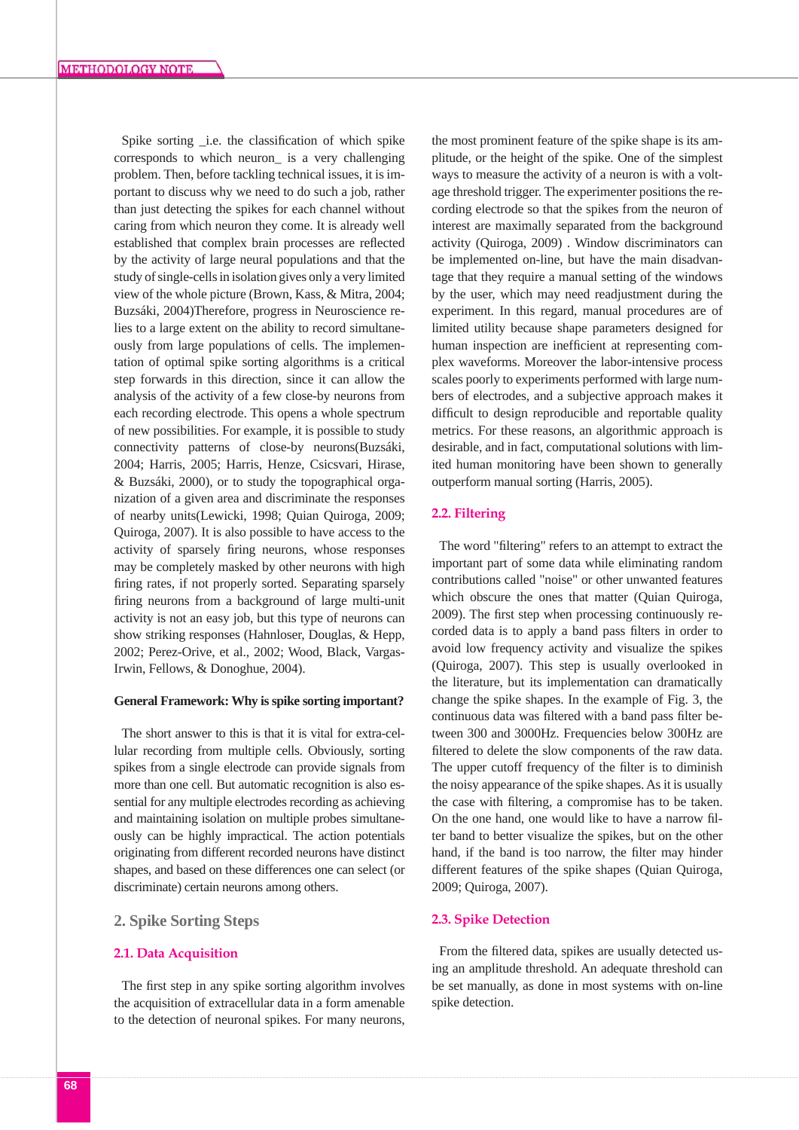Spike sorting \_i.e. the classification of which spike corresponds to which neuron\_ is a very challenging problem. Then, before tackling technical issues, it is important to discuss why we need to do such a job, rather than just detecting the spikes for each channel without caring from which neuron they come. It is already well established that complex brain processes are reflected by the activity of large neural populations and that the study of single-cells in isolation gives only a very limited view of the whole picture (Brown, Kass, & Mitra, 2004; Buzsáki, 2004)Therefore, progress in Neuroscience relies to a large extent on the ability to record simultaneously from large populations of cells. The implementation of optimal spike sorting algorithms is a critical step forwards in this direction, since it can allow the analysis of the activity of a few close-by neurons from each recording electrode. This opens a whole spectrum of new possibilities. For example, it is possible to study connectivity patterns of close-by neurons(Buzsáki, 2004; Harris, 2005; Harris, Henze, Csicsvari, Hirase, & Buzsáki, 2000), or to study the topographical organization of a given area and discriminate the responses of nearby units(Lewicki, 1998; Quian Quiroga, 2009; Quiroga, 2007). It is also possible to have access to the activity of sparsely firing neurons, whose responses may be completely masked by other neurons with high firing rates, if not properly sorted. Separating sparsely firing neurons from a background of large multi-unit activity is not an easy job, but this type of neurons can show striking responses (Hahnloser, Douglas, & Hepp, 2002; Perez-Orive, et al., 2002; Wood, Black, Vargas-Irwin, Fellows, & Donoghue, 2004).

#### **General Framework: Why is spike sorting important?**

The short answer to this is that it is vital for extra-cellular recording from multiple cells. Obviously, sorting spikes from a single electrode can provide signals from more than one cell. But automatic recognition is also essential for any multiple electrodes recording as achieving and maintaining isolation on multiple probes simultaneously can be highly impractical. The action potentials originating from different recorded neurons have distinct shapes, and based on these differences one can select (or discriminate) certain neurons among others.

# **2. Spike Sorting Steps**

#### **2.1. Data Acquisition**

The first step in any spike sorting algorithm involves the acquisition of extracellular data in a form amenable to the detection of neuronal spikes. For many neurons,

the most prominent feature of the spike shape is its amplitude, or the height of the spike. One of the simplest ways to measure the activity of a neuron is with a voltage threshold trigger. The experimenter positions the recording electrode so that the spikes from the neuron of interest are maximally separated from the background activity (Quiroga, 2009) . Window discriminators can be implemented on-line, but have the main disadvantage that they require a manual setting of the windows by the user, which may need readjustment during the experiment. In this regard, manual procedures are of limited utility because shape parameters designed for human inspection are inefficient at representing complex waveforms. Moreover the labor-intensive process scales poorly to experiments performed with large numbers of electrodes, and a subjective approach makes it difficult to design reproducible and reportable quality metrics. For these reasons, an algorithmic approach is desirable, and in fact, computational solutions with limited human monitoring have been shown to generally outperform manual sorting (Harris, 2005).

#### **2.2. Filtering**

The word "filtering" refers to an attempt to extract the important part of some data while eliminating random contributions called "noise" or other unwanted features which obscure the ones that matter (Quian Quiroga, 2009). The first step when processing continuously recorded data is to apply a band pass filters in order to avoid low frequency activity and visualize the spikes (Quiroga, 2007). This step is usually overlooked in the literature, but its implementation can dramatically change the spike shapes. In the example of Fig. 3, the continuous data was filtered with a band pass filter between 300 and 3000Hz. Frequencies below 300Hz are filtered to delete the slow components of the raw data. The upper cutoff frequency of the filter is to diminish the noisy appearance of the spike shapes. As it is usually the case with filtering, a compromise has to be taken. On the one hand, one would like to have a narrow filter band to better visualize the spikes, but on the other hand, if the band is too narrow, the filter may hinder different features of the spike shapes (Quian Quiroga, 2009; Quiroga, 2007).

## **2.3. Spike Detection**

From the filtered data, spikes are usually detected using an amplitude threshold. An adequate threshold can be set manually, as done in most systems with on-line spike detection.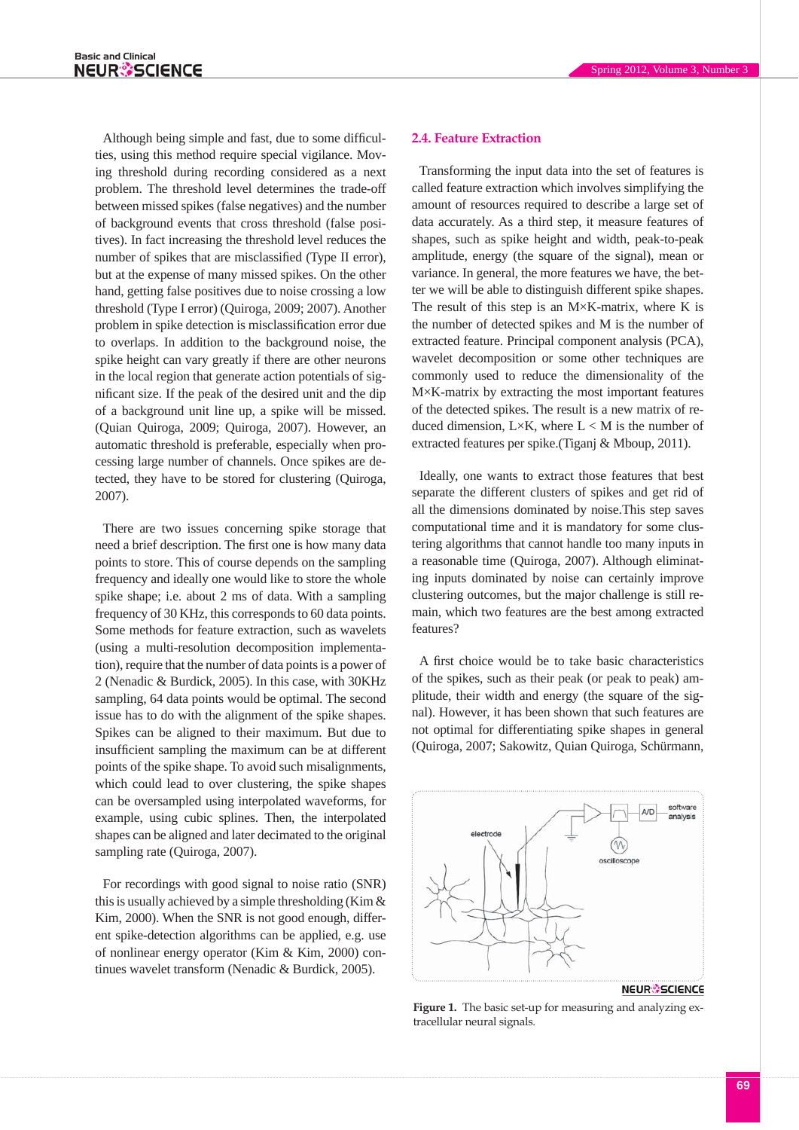Although being simple and fast, due to some difficulties, using this method require special vigilance. Moving threshold during recording considered as a next problem. The threshold level determines the trade-off between missed spikes (false negatives) and the number of background events that cross threshold (false positives). In fact increasing the threshold level reduces the number of spikes that are misclassified (Type II error), but at the expense of many missed spikes. On the other hand, getting false positives due to noise crossing a low threshold (Type I error) (Quiroga, 2009; 2007). Another problem in spike detection is misclassification error due to overlaps. In addition to the background noise, the spike height can vary greatly if there are other neurons in the local region that generate action potentials of significant size. If the peak of the desired unit and the dip of a background unit line up, a spike will be missed. (Quian Quiroga, 2009; Quiroga, 2007). However, an automatic threshold is preferable, especially when processing large number of channels. Once spikes are detected, they have to be stored for clustering (Quiroga, 2007).

There are two issues concerning spike storage that need a brief description. The first one is how many data points to store. This of course depends on the sampling frequency and ideally one would like to store the whole spike shape; i.e. about 2 ms of data. With a sampling frequency of 30 KHz, this corresponds to 60 data points. Some methods for feature extraction, such as wavelets (using a multi-resolution decomposition implementation), require that the number of data points is a power of 2 (Nenadic & Burdick, 2005). In this case, with 30KHz sampling, 64 data points would be optimal. The second issue has to do with the alignment of the spike shapes. Spikes can be aligned to their maximum. But due to insufficient sampling the maximum can be at different points of the spike shape. To avoid such misalignments, which could lead to over clustering, the spike shapes can be oversampled using interpolated waveforms, for example, using cubic splines. Then, the interpolated shapes can be aligned and later decimated to the original sampling rate (Quiroga, 2007).

For recordings with good signal to noise ratio (SNR) this is usually achieved by a simple thresholding (Kim & Kim, 2000). When the SNR is not good enough, different spike-detection algorithms can be applied, e.g. use of nonlinear energy operator (Kim & Kim, 2000) continues wavelet transform (Nenadic & Burdick, 2005).

## **2.4. Feature Extraction**

Transforming the input data into the set of features is called feature extraction which involves simplifying the amount of resources required to describe a large set of data accurately. As a third step, it measure features of shapes, such as spike height and width, peak-to-peak amplitude, energy (the square of the signal), mean or variance. In general, the more features we have, the better we will be able to distinguish different spike shapes. The result of this step is an  $M \times K$ -matrix, where K is the number of detected spikes and M is the number of extracted feature. Principal component analysis (PCA), wavelet decomposition or some other techniques are commonly used to reduce the dimensionality of the M×K-matrix by extracting the most important features of the detected spikes. The result is a new matrix of reduced dimension, L $\times$ K, where L  $<$  M is the number of extracted features per spike.(Tiganj & Mboup, 2011).

Ideally, one wants to extract those features that best separate the different clusters of spikes and get rid of all the dimensions dominated by noise.This step saves computational time and it is mandatory for some clustering algorithms that cannot handle too many inputs in a reasonable time (Quiroga, 2007). Although eliminating inputs dominated by noise can certainly improve clustering outcomes, but the major challenge is still remain, which two features are the best among extracted features?

A first choice would be to take basic characteristics of the spikes, such as their peak (or peak to peak) amplitude, their width and energy (the square of the signal). However, it has been shown that such features are not optimal for differentiating spike shapes in general (Quiroga, 2007; Sakowitz, Quian Quiroga, Schürmann,



**NEUR** SCIENCE

**Figure 1.** The basic set-up for measuring and analyzing extracellular neural signals.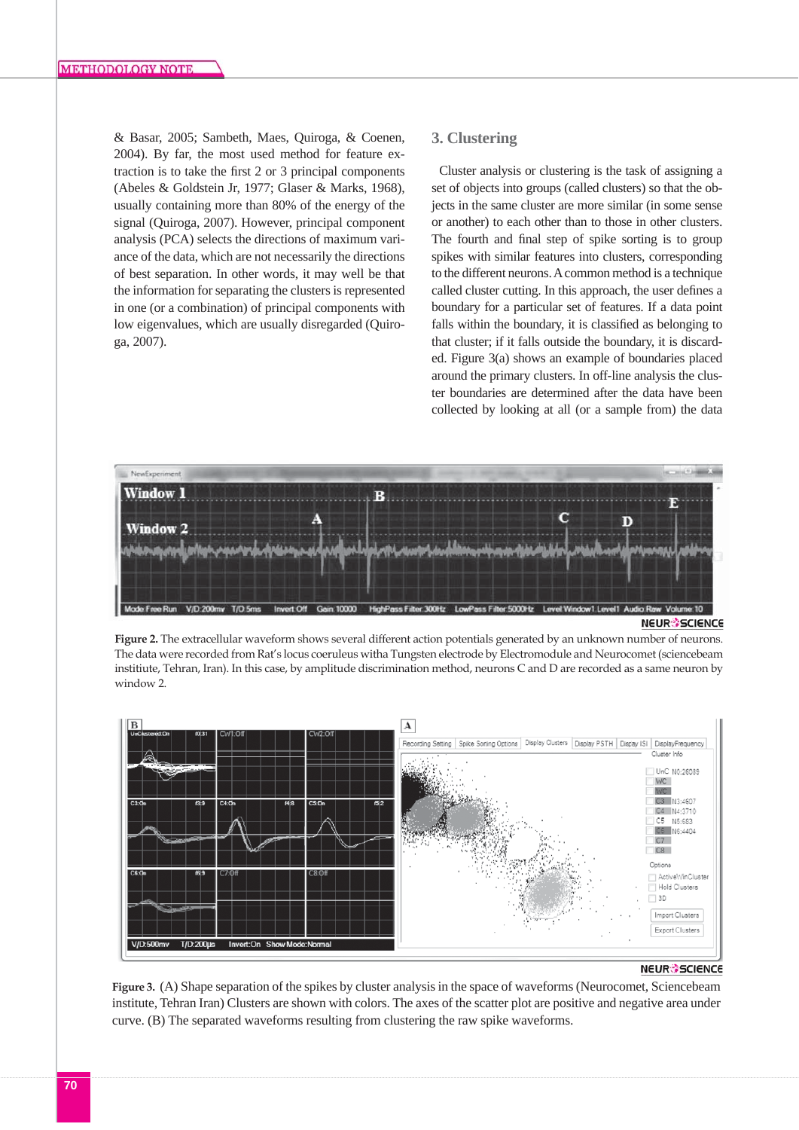& Basar, 2005; Sambeth, Maes, Quiroga, & Coenen, 2004). By far, the most used method for feature extraction is to take the first 2 or 3 principal components (Abeles & Goldstein Jr, 1977; Glaser & Marks, 1968), usually containing more than 80% of the energy of the signal (Quiroga, 2007). However, principal component analysis (PCA) selects the directions of maximum variance of the data, which are not necessarily the directions of best separation. In other words, it may well be that the information for separating the clusters is represented in one (or a combination) of principal components with low eigenvalues, which are usually disregarded (Quiroga, 2007).

# **3. Clustering**

Cluster analysis or clustering is the task of assigning a set of objects into groups (called clusters) so that the objects in the same cluster are more similar (in some sense or another) to each other than to those in other clusters. The fourth and final step of spike sorting is to group spikes with similar features into clusters, corresponding to the different neurons. A common method is a technique called cluster cutting. In this approach, the user defines a boundary for a particular set of features. If a data point falls within the boundary, it is classified as belonging to that cluster; if it falls outside the boundary, it is discarded. Figure 3(a) shows an example of boundaries placed around the primary clusters. In off-line analysis the cluster boundaries are determined after the data have been collected by looking at all (or a sample from) the data



**NEUR<sup>2</sup>SCIENCE** 

**Figure 2.** The extracellular waveform shows several different action potentials generated by an unknown number of neurons. The data were recorded from Rat's locus coeruleus witha Tungsten electrode by Electromodule and Neurocomet (sciencebeam institiute, Tehran, Iran). In this case, by amplitude discrimination method, neurons C and D are recorded as a same neuron by window 2.



## **NEUR SCIENCE**

**Figure 3.** (A) Shape separation of the spikes by cluster analysis in the space of waveforms (Neurocomet, Sciencebeam institute, Tehran Iran) Clusters are shown with colors. The axes of the scatter plot are positive and negative area under curve. (B) The separated waveforms resulting from clustering the raw spike waveforms.